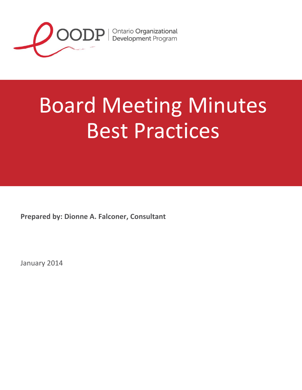

## Board Meeting Minutes Best Practices

**Prepared by: Dionne A. Falconer, Consultant**

January 2014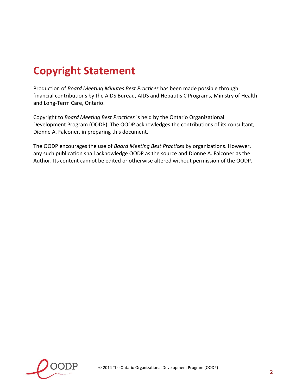## **Copyright Statement**

Production of *Board Meeting Minutes Best Practices* has been made possible through financial contributions by the AIDS Bureau, AIDS and Hepatitis C Programs, Ministry of Health and Long-Term Care, Ontario.

Copyright to *Board Meeting Best Practices* is held by the Ontario Organizational Development Program (OODP). The OODP acknowledges the contributions of its consultant, Dionne A. Falconer, in preparing this document.

The OODP encourages the use of *Board Meeting Best Practices* by organizations. However, any such publication shall acknowledge OODP as the source and Dionne A. Falconer as the Author. Its content cannot be edited or otherwise altered without permission of the OODP.